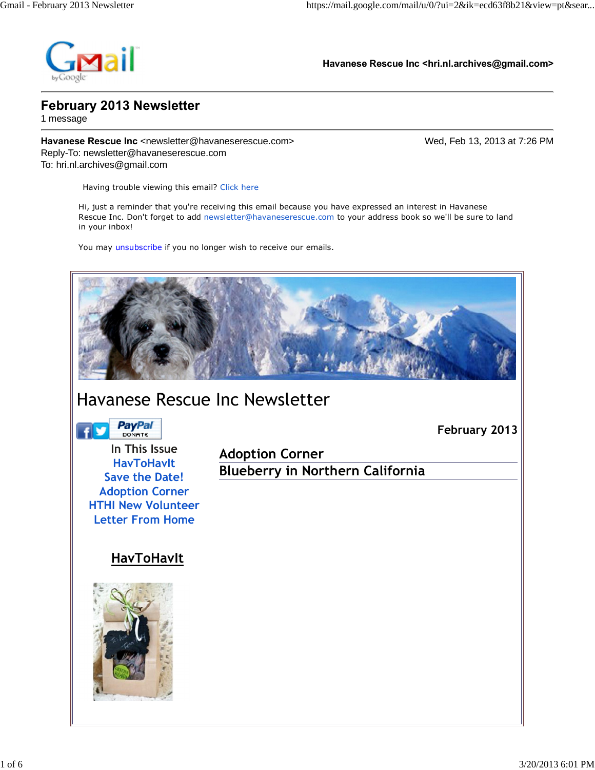

**Havanese Rescue Inc <hri.nl.archives@gmail.com>**

### **February 2013 Newsletter**

1 message

**Havanese Rescue Inc** <newsletter@havaneserescue.com> Wed, Feb 13, 2013 at 7:26 PM Reply-To: newsletter@havaneserescue.com To: hri.nl.archives@gmail.com

 **February 2013**

Having trouble viewing this email? Click here

Hi, just a reminder that you're receiving this email because you have expressed an interest in Havanese Rescue Inc. Don't forget to add newsletter@havaneserescue.com to your address book so we'll be sure to land in your inbox!

You may unsubscribe if you no longer wish to receive our emails.



## Havanese Rescue Inc Newsletter

**PayPal** 

**In This Issue HavToHavIt Save the Date! Adoption Corner HTHI New Volunteer Letter From Home**

**Adoption Corner Blueberry in Northern California**

## **HavToHavIt**

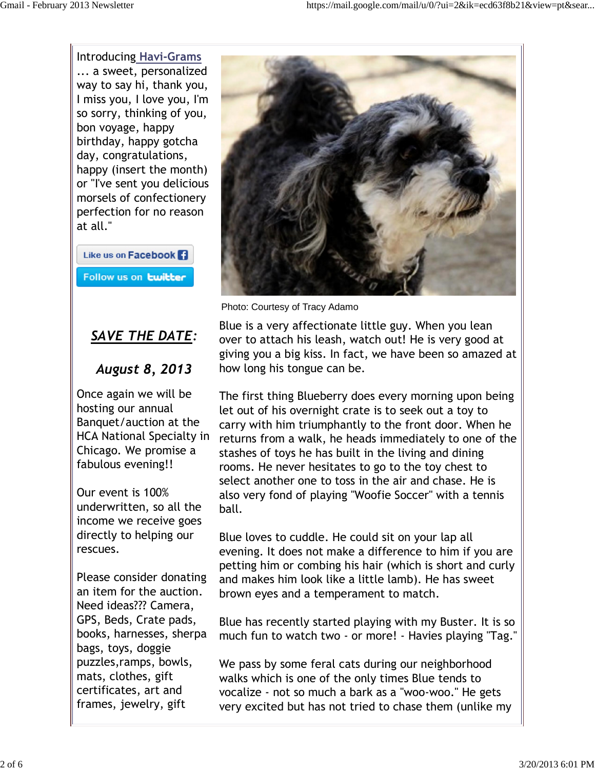Introducing **Havi-Grams** ... a sweet, personalized way to say hi, thank you, I miss you, I love you, I'm so sorry, thinking of you, bon voyage, happy birthday, happy gotcha day, congratulations, happy (insert the month) or "I've sent you delicious morsels of confectionery perfection for no reason at all."

Like us on Facebook 1 Follow us on **twitter** 

## *SAVE THE DATE:*

## *August 8, 2013*

Once again we will be hosting our annual Banquet/auction at the HCA National Specialty in Chicago. We promise a fabulous evening!!

Our event is 100% underwritten, so all the income we receive goes directly to helping our rescues.

Please consider donating an item for the auction. Need ideas??? Camera, GPS, Beds, Crate pads, books, harnesses, sherpa bags, toys, doggie puzzles,ramps, bowls, mats, clothes, gift certificates, art and frames, jewelry, gift



Photo: Courtesy of Tracy Adamo

Blue is a very affectionate little guy. When you lean over to attach his leash, watch out! He is very good at giving you a big kiss. In fact, we have been so amazed at how long his tongue can be.

The first thing Blueberry does every morning upon being let out of his overnight crate is to seek out a toy to carry with him triumphantly to the front door. When he returns from a walk, he heads immediately to one of the stashes of toys he has built in the living and dining rooms. He never hesitates to go to the toy chest to select another one to toss in the air and chase. He is also very fond of playing "Woofie Soccer" with a tennis ball.

Blue loves to cuddle. He could sit on your lap all evening. It does not make a difference to him if you are petting him or combing his hair (which is short and curly and makes him look like a little lamb). He has sweet brown eyes and a temperament to match.

Blue has recently started playing with my Buster. It is so much fun to watch two - or more! - Havies playing "Tag."

We pass by some feral cats during our neighborhood walks which is one of the only times Blue tends to vocalize - not so much a bark as a "woo-woo." He gets very excited but has not tried to chase them (unlike my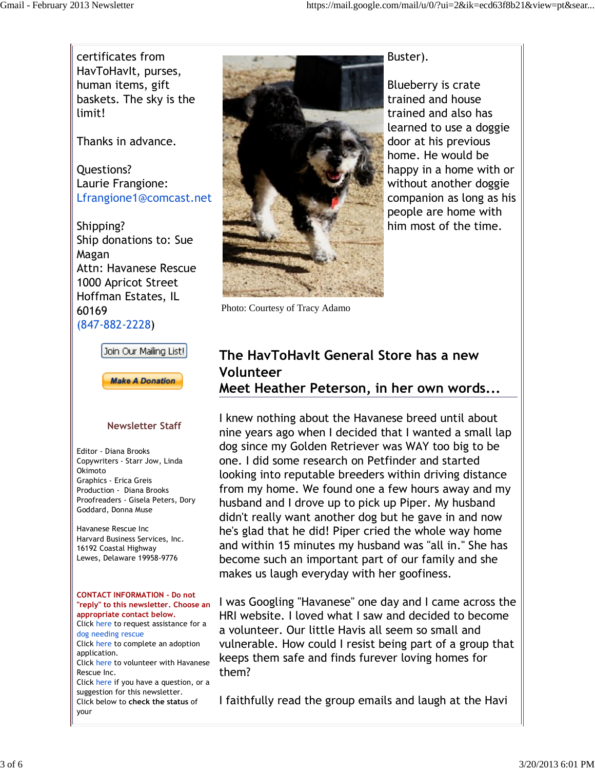certificates from HavToHavIt, purses, human items, gift baskets. The sky is the limit!

Thanks in advance.

Questions? Laurie Frangione: Lfrangione1@comcast.net

Shipping? Ship donations to: Sue Magan Attn: Havanese Rescue 1000 Apricot Street Hoffman Estates, IL 60169 (847-882-2228)





#### **Newsletter Staff**

Editor - Diana Brooks Copywriters - Starr Jow, Linda Okimoto Graphics - Erica Greis Production - Diana Brooks Proofreaders - Gisela Peters, Dory Goddard, Donna Muse

Havanese Rescue Inc Harvard Business Services, Inc. 16192 Coastal Highway Lewes, Delaware 19958-9776

#### **CONTACT INFORMATION - Do not "reply" to this newsletter. Choose an appropriate contact below.** Click here to request assistance for a

dog needing rescue Click here to complete an adoption

application. Click here to volunteer with Havanese Rescue Inc.

Click here if you have a question, or a suggestion for this newsletter. Click below to **check the status** of your



Photo: Courtesy of Tracy Adamo

# Blueberry is crate

Buster).

trained and house trained and also has learned to use a doggie door at his previous home. He would be happy in a home with or without another doggie companion as long as his people are home with him most of the time.

## **The HavToHavIt General Store has a new Volunteer**

**Meet Heather Peterson, in her own words...**

I knew nothing about the Havanese breed until about nine years ago when I decided that I wanted a small lap dog since my Golden Retriever was WAY too big to be one. I did some research on Petfinder and started looking into reputable breeders within driving distance from my home. We found one a few hours away and my husband and I drove up to pick up Piper. My husband didn't really want another dog but he gave in and now he's glad that he did! Piper cried the whole way home and within 15 minutes my husband was "all in." She has become such an important part of our family and she makes us laugh everyday with her goofiness.

I was Googling "Havanese" one day and I came across the HRI website. I loved what I saw and decided to become a volunteer. Our little Havis all seem so small and vulnerable. How could I resist being part of a group that keeps them safe and finds furever loving homes for them?

I faithfully read the group emails and laugh at the Havi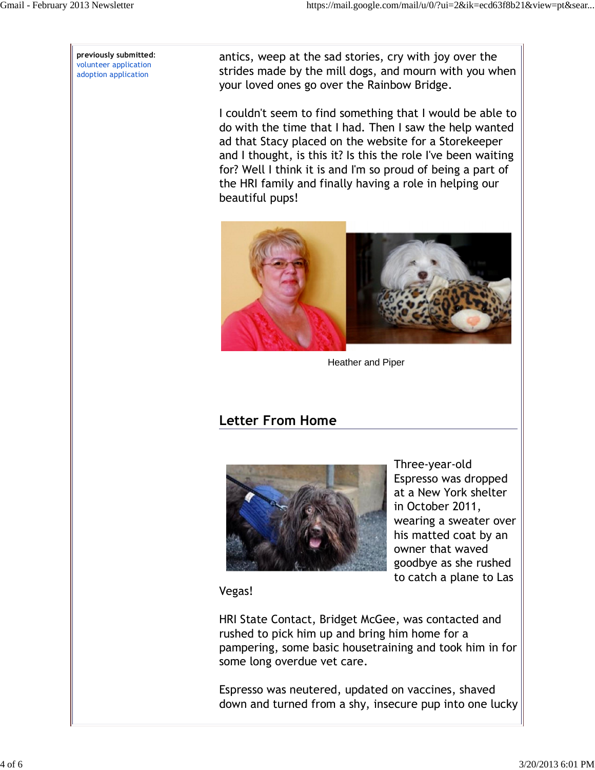**previously submitted**: volunteer application adoption application

antics, weep at the sad stories, cry with joy over the strides made by the mill dogs, and mourn with you when your loved ones go over the Rainbow Bridge.

I couldn't seem to find something that I would be able to do with the time that I had. Then I saw the help wanted ad that Stacy placed on the website for a Storekeeper and I thought, is this it? Is this the role I've been waiting for? Well I think it is and I'm so proud of being a part of the HRI family and finally having a role in helping our beautiful pups!



Heather and Piper

## **Letter From Home**



Three-year-old Espresso was dropped at a New York shelter in October 2011, wearing a sweater over his matted coat by an owner that waved goodbye as she rushed to catch a plane to Las

Vegas!

HRI State Contact, Bridget McGee, was contacted and rushed to pick him up and bring him home for a pampering, some basic housetraining and took him in for some long overdue vet care.

Espresso was neutered, updated on vaccines, shaved down and turned from a shy, insecure pup into one lucky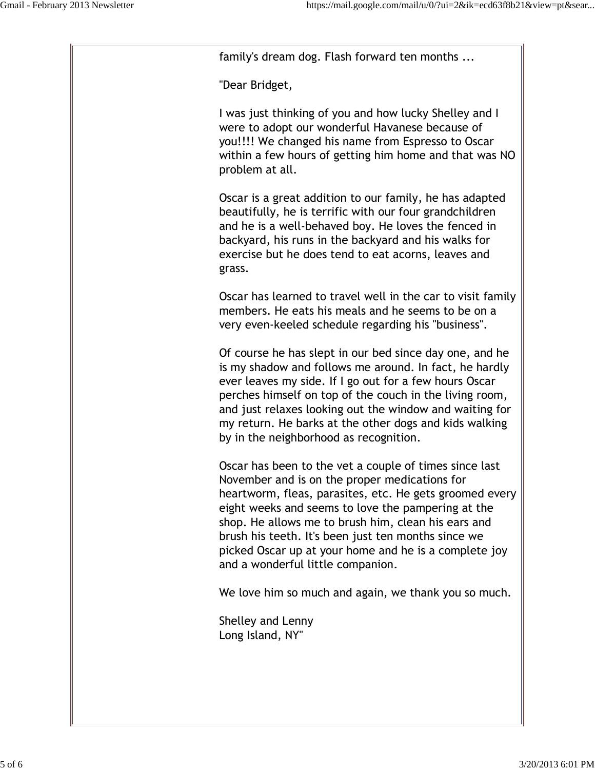family's dream dog. Flash forward ten months ...

"Dear Bridget,

I was just thinking of you and how lucky Shelley and I were to adopt our wonderful Havanese because of you!!!! We changed his name from Espresso to Oscar within a few hours of getting him home and that was NO problem at all.

Oscar is a great addition to our family, he has adapted beautifully, he is terrific with our four grandchildren and he is a well-behaved boy. He loves the fenced in backyard, his runs in the backyard and his walks for exercise but he does tend to eat acorns, leaves and grass.

Oscar has learned to travel well in the car to visit family members. He eats his meals and he seems to be on a very even-keeled schedule regarding his "business".

Of course he has slept in our bed since day one, and he is my shadow and follows me around. In fact, he hardly ever leaves my side. If I go out for a few hours Oscar perches himself on top of the couch in the living room, and just relaxes looking out the window and waiting for my return. He barks at the other dogs and kids walking by in the neighborhood as recognition.

Oscar has been to the vet a couple of times since last November and is on the proper medications for heartworm, fleas, parasites, etc. He gets groomed every eight weeks and seems to love the pampering at the shop. He allows me to brush him, clean his ears and brush his teeth. It's been just ten months since we picked Oscar up at your home and he is a complete joy and a wonderful little companion.

We love him so much and again, we thank you so much.

Shelley and Lenny Long Island, NY"